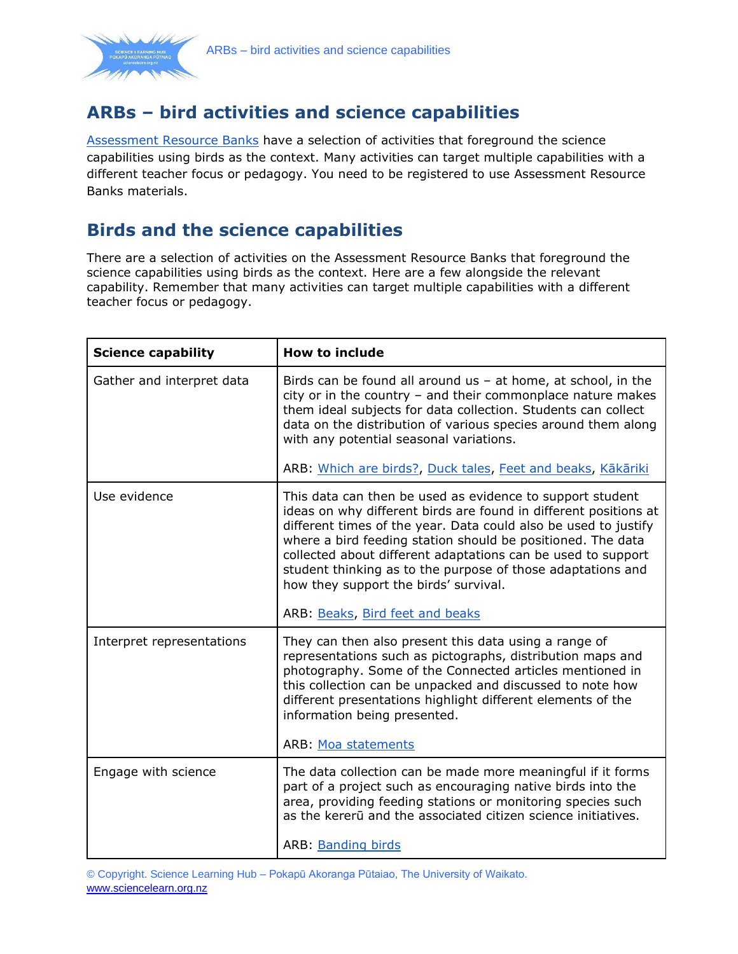

## **ARBs – bird activities and science capabilities**

[Assessment Resource Banks](https://arbs.nzcer.org.nz/lookup/bird%20feet/bank/science-3) have a selection of activities that foreground the science capabilities using birds as the context. Many activities can target multiple capabilities with a different teacher focus or pedagogy. You need to be registered to use Assessment Resource Banks materials.

## **Birds and the science capabilities**

There are a selection of activities on the Assessment Resource Banks that foreground the science capabilities using birds as the context. Here are a few alongside the relevant capability. Remember that many activities can target multiple capabilities with a different teacher focus or pedagogy.

| <b>Science capability</b> | <b>How to include</b>                                                                                                                                                                                                                                                                                                                                                                                                                   |
|---------------------------|-----------------------------------------------------------------------------------------------------------------------------------------------------------------------------------------------------------------------------------------------------------------------------------------------------------------------------------------------------------------------------------------------------------------------------------------|
| Gather and interpret data | Birds can be found all around us $-$ at home, at school, in the<br>city or in the country - and their commonplace nature makes<br>them ideal subjects for data collection. Students can collect<br>data on the distribution of various species around them along<br>with any potential seasonal variations.                                                                                                                             |
|                           | ARB: Which are birds?, Duck tales, Feet and beaks, Kākāriki                                                                                                                                                                                                                                                                                                                                                                             |
| Use evidence              | This data can then be used as evidence to support student<br>ideas on why different birds are found in different positions at<br>different times of the year. Data could also be used to justify<br>where a bird feeding station should be positioned. The data<br>collected about different adaptations can be used to support<br>student thinking as to the purpose of those adaptations and<br>how they support the birds' survival. |
|                           | ARB: Beaks, Bird feet and beaks                                                                                                                                                                                                                                                                                                                                                                                                         |
| Interpret representations | They can then also present this data using a range of<br>representations such as pictographs, distribution maps and<br>photography. Some of the Connected articles mentioned in<br>this collection can be unpacked and discussed to note how<br>different presentations highlight different elements of the<br>information being presented.                                                                                             |
|                           | ARB: Moa statements                                                                                                                                                                                                                                                                                                                                                                                                                     |
| Engage with science       | The data collection can be made more meaningful if it forms<br>part of a project such as encouraging native birds into the<br>area, providing feeding stations or monitoring species such<br>as the kererū and the associated citizen science initiatives.<br>ARB: Banding birds                                                                                                                                                        |

© Copyright. Science Learning Hub – Pokapū Akoranga Pūtaiao, The University of Waikato. [www.sciencelearn.org.nz](http://www.sciencelearn.org.nz/)